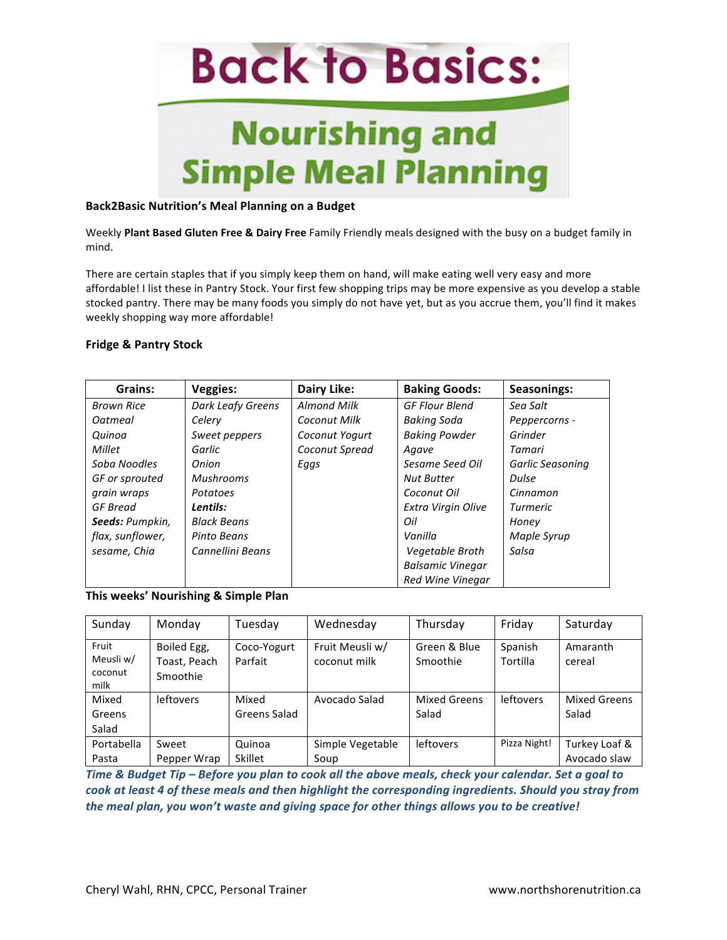

#### **Back2Basic Nutrition's Meal Planning on a Budget**

Weekly Plant Based Gluten Free & Dairy Free Family Friendly meals designed with the busy on a budget family in mind. 

There are certain staples that if you simply keep them on hand, will make eating well very easy and more affordable! I list these in Pantry Stock. Your first few shopping trips may be more expensive as you develop a stable stocked pantry. There may be many foods you simply do not have yet, but as you accrue them, you'll find it makes weekly shopping way more affordable!

#### **Fridge & Pantry Stock**

| Grains:           | Veggies:           | Dairy Like:        | <b>Baking Goods:</b>    | <b>Seasonings:</b> |
|-------------------|--------------------|--------------------|-------------------------|--------------------|
| <b>Brown Rice</b> | Dark Leafy Greens  | <b>Almond Milk</b> | <b>GF Flour Blend</b>   | Sea Salt           |
| Oatmeal           | Celery             | Coconut Milk       | Baking Soda             | Peppercorns -      |
| Quinoa            | Sweet peppers      | Coconut Yogurt     | <b>Baking Powder</b>    | Grinder            |
| Millet            | Garlic             | Coconut Spread     | Agave                   | Tamari             |
| Soba Noodles      | Onion              | Eggs               | Sesame Seed Oil         | Garlic Seasoning   |
| GF or sprouted    | <b>Mushrooms</b>   |                    | <b>Nut Butter</b>       | Dulse              |
| grain wraps       | Potatoes           |                    | Coconut Oil             | Cinnamon           |
| GF Bread          | Lentils:           |                    | Extra Virgin Olive      | <b>Turmeric</b>    |
| Seeds: Pumpkin,   | <b>Black Beans</b> |                    | Oil                     | Honey              |
| flax, sunflower,  | Pinto Beans        |                    | Vanilla                 | Maple Syrup        |
| sesame, Chia      | Cannellini Beans   |                    | Vegetable Broth         | Salsa              |
|                   |                    |                    | <b>Balsamic Vinegar</b> |                    |
|                   |                    |                    | <b>Red Wine Vinegar</b> |                    |

#### This weeks' Nourishing & Simple Plan

| Sunday                                | Monday                                  | Tuesday                | Wednesday                       | Thursday                 | Friday              | Saturday                      |
|---------------------------------------|-----------------------------------------|------------------------|---------------------------------|--------------------------|---------------------|-------------------------------|
| Fruit<br>Meusli w/<br>coconut<br>milk | Boiled Egg,<br>Toast, Peach<br>Smoothie | Coco-Yogurt<br>Parfait | Fruit Meusli w/<br>coconut milk | Green & Blue<br>Smoothie | Spanish<br>Tortilla | Amaranth<br>cereal            |
| Mixed<br>Greens<br>Salad              | <b>leftovers</b>                        | Mixed<br>Greens Salad  | Avocado Salad                   | Mixed Greens<br>Salad    | <b>leftovers</b>    | Mixed Greens<br>Salad         |
| Portabella<br>Pasta                   | Sweet<br>Pepper Wrap                    | Quinoa<br>Skillet      | Simple Vegetable<br>Soup        | <b>leftovers</b>         | Pizza Night!        | Turkey Loaf &<br>Avocado slaw |

*Time* & Budget Tip – Before you plan to cook all the above meals, check your calendar. Set a goal to *cook* at least 4 of these meals and then highlight the corresponding ingredients. Should you stray from *the meal plan, you won't waste and giving space for other things allows you to be creative!*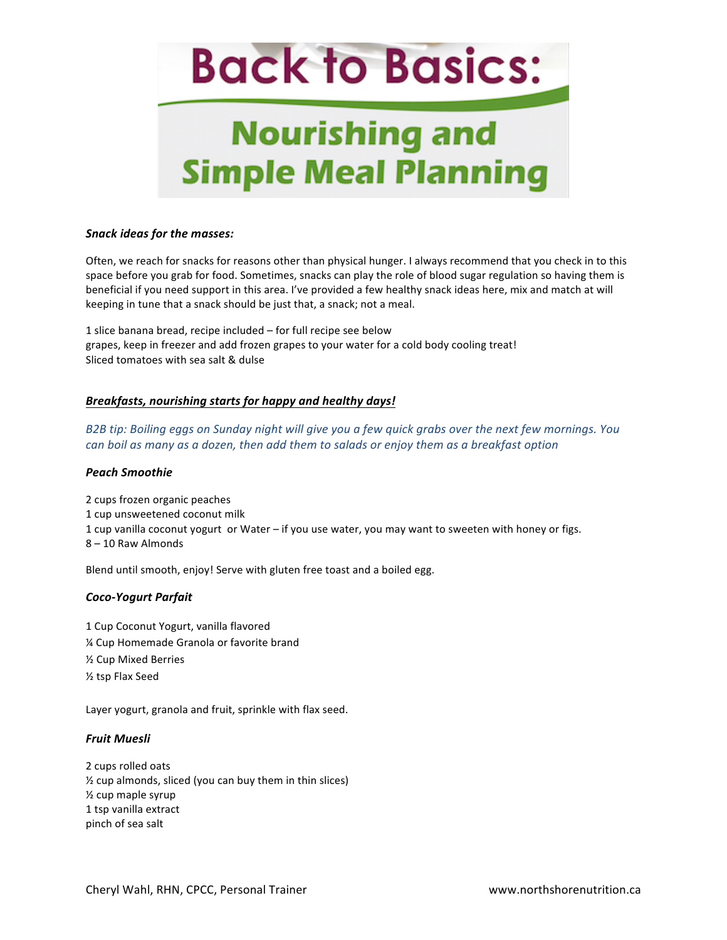## **Nourishing and Simple Meal Planning**

#### *Snack ideas for the masses:*

Often, we reach for snacks for reasons other than physical hunger. I always recommend that you check in to this space before you grab for food. Sometimes, snacks can play the role of blood sugar regulation so having them is beneficial if you need support in this area. I've provided a few healthy snack ideas here, mix and match at will keeping in tune that a snack should be just that, a snack; not a meal.

1 slice banana bread, recipe included  $-$  for full recipe see below grapes, keep in freezer and add frozen grapes to your water for a cold body cooling treat! Sliced tomatoes with sea salt & dulse

#### *Breakfasts, nourishing starts for happy and healthy days!*

*B2B* tip: Boiling eggs on Sunday night will give you a few quick grabs over the next few mornings. You *can boil* as many as a dozen, then add them to salads or enjoy them as a breakfast option

#### *Peach Smoothie*

2 cups frozen organic peaches 1 cup unsweetened coconut milk 1 cup vanilla coconut yogurt or Water – if you use water, you may want to sweeten with honey or figs. 8 - 10 Raw Almonds

Blend until smooth, enjoy! Serve with gluten free toast and a boiled egg.

#### *Coco-Yogurt Parfait*

1 Cup Coconut Yogurt, vanilla flavored % Cup Homemade Granola or favorite brand **1/<sub>2</sub>** Cup Mixed Berries ½ tsp Flax Seed

Layer yogurt, granola and fruit, sprinkle with flax seed.

#### *Fruit Muesli*

2 cups rolled oats  $%$  cup almonds, sliced (you can buy them in thin slices)  $\frac{1}{2}$  cup maple syrup 1 tsp vanilla extract pinch of sea salt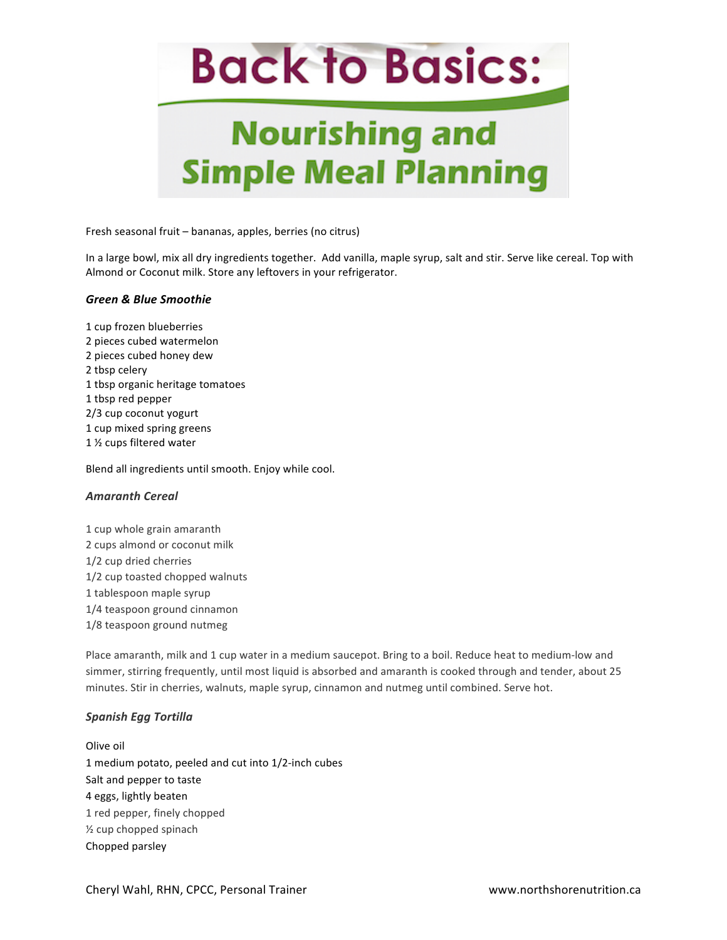## **Nourishing and Simple Meal Planning**

Fresh seasonal fruit - bananas, apples, berries (no citrus)

In a large bowl, mix all dry ingredients together. Add vanilla, maple syrup, salt and stir. Serve like cereal. Top with Almond or Coconut milk. Store any leftovers in your refrigerator.

#### *Green & Blue Smoothie*

1 cup frozen blueberries 2 pieces cubed watermelon 2 pieces cubed honey dew 2 tbsp celery 1 tbsp organic heritage tomatoes 1 tbsp red pepper 2/3 cup coconut yogurt 1 cup mixed spring greens 1 1/2 cups filtered water

Blend all ingredients until smooth. Enjoy while cool.

#### *Amaranth Cereal*

1 cup whole grain amaranth 2 cups almond or coconut milk 1/2 cup dried cherries 1/2 cup toasted chopped walnuts 1 tablespoon maple syrup 1/4 teaspoon ground cinnamon 1/8 teaspoon ground nutmeg

Place amaranth, milk and 1 cup water in a medium saucepot. Bring to a boil. Reduce heat to medium-low and simmer, stirring frequently, until most liquid is absorbed and amaranth is cooked through and tender, about 25 minutes. Stir in cherries, walnuts, maple syrup, cinnamon and nutmeg until combined. Serve hot.

#### *Spanish Egg Tortilla*

Olive oil 1 medium potato, peeled and cut into 1/2-inch cubes Salt and pepper to taste 4 eggs, lightly beaten 1 red pepper, finely chopped 1/<sub>2</sub> cup chopped spinach Chopped parsley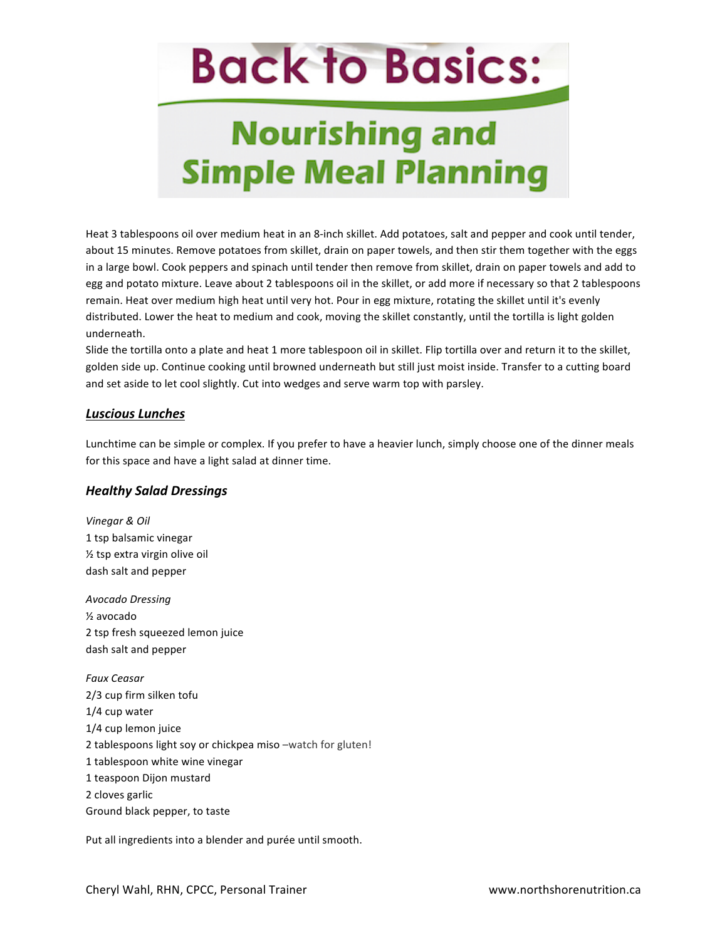## **Nourishing and Simple Meal Planning**

Heat 3 tablespoons oil over medium heat in an 8-inch skillet. Add potatoes, salt and pepper and cook until tender, about 15 minutes. Remove potatoes from skillet, drain on paper towels, and then stir them together with the eggs in a large bowl. Cook peppers and spinach until tender then remove from skillet, drain on paper towels and add to egg and potato mixture. Leave about 2 tablespoons oil in the skillet, or add more if necessary so that 2 tablespoons remain. Heat over medium high heat until very hot. Pour in egg mixture, rotating the skillet until it's evenly distributed. Lower the heat to medium and cook, moving the skillet constantly, until the tortilla is light golden underneath.

Slide the tortilla onto a plate and heat 1 more tablespoon oil in skillet. Flip tortilla over and return it to the skillet, golden side up. Continue cooking until browned underneath but still just moist inside. Transfer to a cutting board and set aside to let cool slightly. Cut into wedges and serve warm top with parsley.

### *Luscious Lunches*

Lunchtime can be simple or complex. If you prefer to have a heavier lunch, simply choose one of the dinner meals for this space and have a light salad at dinner time.

#### *Healthy Salad Dressings*

*Vinegar & Oil* 1 tsp balsamic vinegar  $\frac{1}{2}$  tsp extra virgin olive oil dash salt and pepper

*Avocado Dressing* ½ avocado 2 tsp fresh squeezed lemon juice dash salt and pepper

*Faux Ceasar* 2/3 cup firm silken tofu 1/4 cup water 1/4 cup lemon juice 2 tablespoons light soy or chickpea miso -watch for gluten! 1 tablespoon white wine vinegar 1 teaspoon Dijon mustard 2 cloves garlic Ground black pepper, to taste

Put all ingredients into a blender and purée until smooth.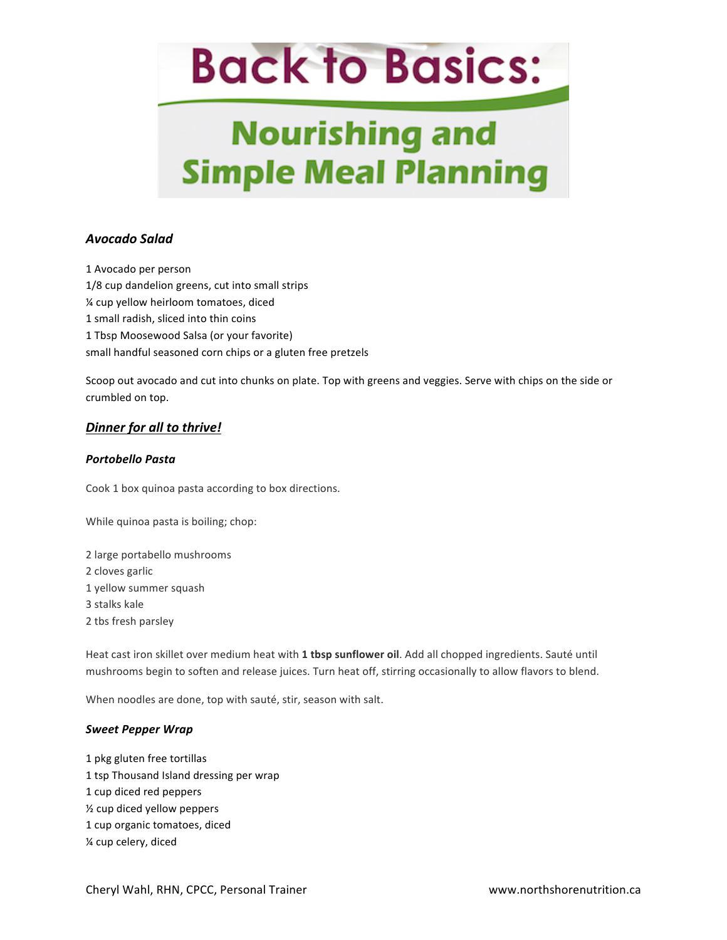## **Nourishing and Simple Meal Planning**

### *Avocado Salad*

1 Avocado per person 1/8 cup dandelion greens, cut into small strips % cup yellow heirloom tomatoes, diced 1 small radish, sliced into thin coins 1 Tbsp Moosewood Salsa (or your favorite) small handful seasoned corn chips or a gluten free pretzels

Scoop out avocado and cut into chunks on plate. Top with greens and veggies. Serve with chips on the side or crumbled on top.

### **Dinner for all to thrive!**

#### *Portobello Pasta*

Cook 1 box quinoa pasta according to box directions.

While quinoa pasta is boiling; chop:

2 large portabello mushrooms 2 cloves garlic 1 yellow summer squash 3 stalks kale 2 tbs fresh parsley

Heat cast iron skillet over medium heat with 1 tbsp sunflower oil. Add all chopped ingredients. Sauté until mushrooms begin to soften and release juices. Turn heat off, stirring occasionally to allow flavors to blend.

When noodles are done, top with sauté, stir, season with salt.

#### *Sweet Pepper Wrap*

1 pkg gluten free tortillas 1 tsp Thousand Island dressing per wrap 1 cup diced red peppers ½ cup diced yellow peppers 1 cup organic tomatoes, diced % cup celery, diced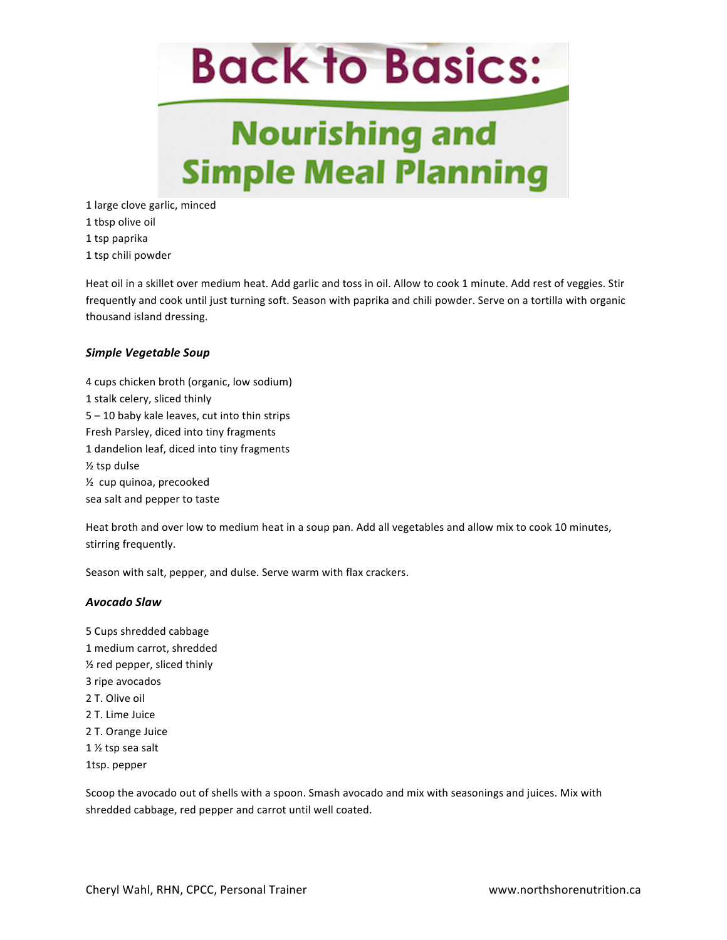## **Nourishing and Simple Meal Planning**

1 large clove garlic, minced 1 tbsp olive oil

1 tsp paprika

1 tsp chili powder

Heat oil in a skillet over medium heat. Add garlic and toss in oil. Allow to cook 1 minute. Add rest of veggies. Stir frequently and cook until just turning soft. Season with paprika and chili powder. Serve on a tortilla with organic thousand island dressing.

### *Simple Vegetable Soup*

4 cups chicken broth (organic, low sodium) 1 stalk celery, sliced thinly  $5 - 10$  baby kale leaves, cut into thin strips Fresh Parsley, diced into tiny fragments 1 dandelion leaf, diced into tiny fragments  $\frac{1}{2}$  tsp dulse 1/<sub>2</sub> cup quinoa, precooked sea salt and pepper to taste

Heat broth and over low to medium heat in a soup pan. Add all vegetables and allow mix to cook 10 minutes, stirring frequently.

Season with salt, pepper, and dulse. Serve warm with flax crackers.

#### *Avocado Slaw*

5 Cups shredded cabbage 1 medium carrot, shredded  $\frac{1}{2}$  red pepper, sliced thinly 3 ripe avocados 2 T. Olive oil 2 T. Lime Juice 2 T. Orange Juice 1 % tsp sea salt 1tsp. pepper

Scoop the avocado out of shells with a spoon. Smash avocado and mix with seasonings and juices. Mix with shredded cabbage, red pepper and carrot until well coated.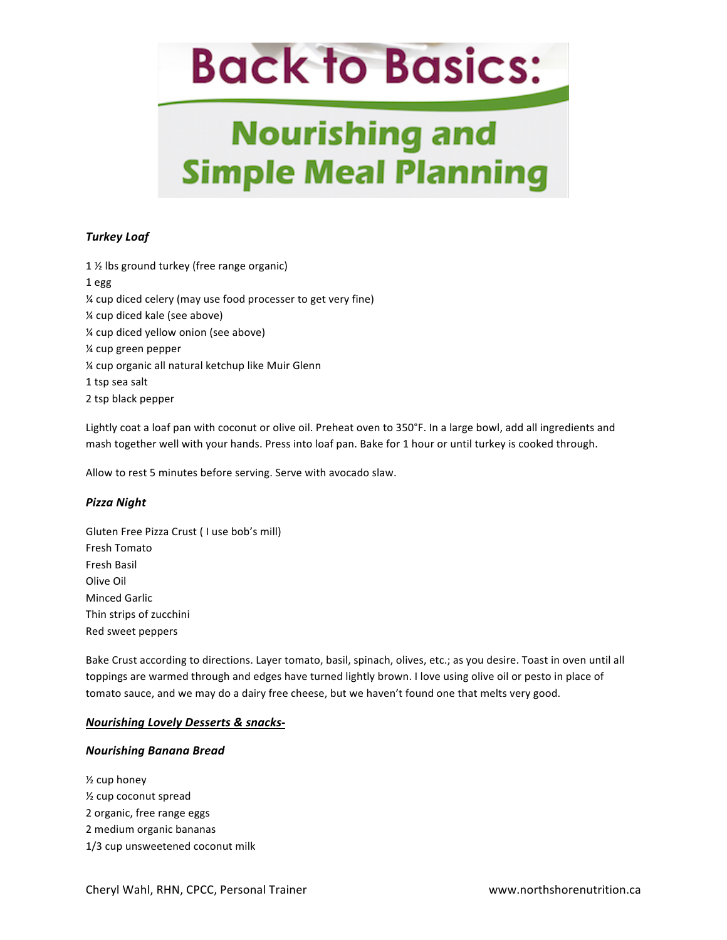## **Nourishing and Simple Meal Planning**

### *Turkey Loaf*

1  $%$  lbs ground turkey (free range organic) 1 egg % cup diced celery (may use food processer to get very fine) % cup diced kale (see above) % cup diced yellow onion (see above) ¼ cup green pepper % cup organic all natural ketchup like Muir Glenn 1 tsp sea salt 2 tsp black pepper

Lightly coat a loaf pan with coconut or olive oil. Preheat oven to 350°F. In a large bowl, add all ingredients and mash together well with your hands. Press into loaf pan. Bake for 1 hour or until turkey is cooked through.

Allow to rest 5 minutes before serving. Serve with avocado slaw.

#### *Pizza Night*

Gluten Free Pizza Crust ( I use bob's mill) Fresh Tomato Fresh Basil Olive Oil Minced Garlic Thin strips of zucchini Red sweet peppers

Bake Crust according to directions. Layer tomato, basil, spinach, olives, etc.; as you desire. Toast in oven until all toppings are warmed through and edges have turned lightly brown. I love using olive oil or pesto in place of tomato sauce, and we may do a dairy free cheese, but we haven't found one that melts very good.

#### *Nourishing Lovely Desserts & snacks-*

#### *Nourishing Banana Bread*

 $\frac{1}{2}$  cup honey  $\frac{1}{2}$  cup coconut spread 2 organic, free range eggs 2 medium organic bananas 1/3 cup unsweetened coconut milk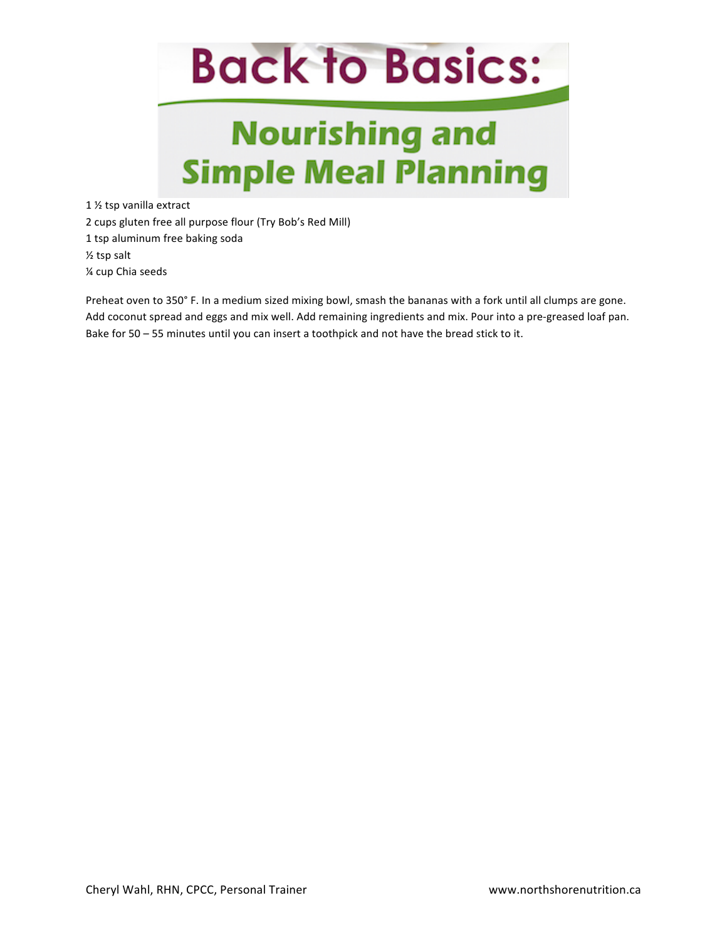## **Nourishing and Simple Meal Planning**

1 1/2 tsp vanilla extract

2 cups gluten free all purpose flour (Try Bob's Red Mill)

1 tsp aluminum free baking soda

 $\frac{1}{2}$  tsp salt

¼ cup Chia seeds

Preheat oven to 350° F. In a medium sized mixing bowl, smash the bananas with a fork until all clumps are gone. Add coconut spread and eggs and mix well. Add remaining ingredients and mix. Pour into a pre-greased loaf pan. Bake for  $50 - 55$  minutes until you can insert a toothpick and not have the bread stick to it.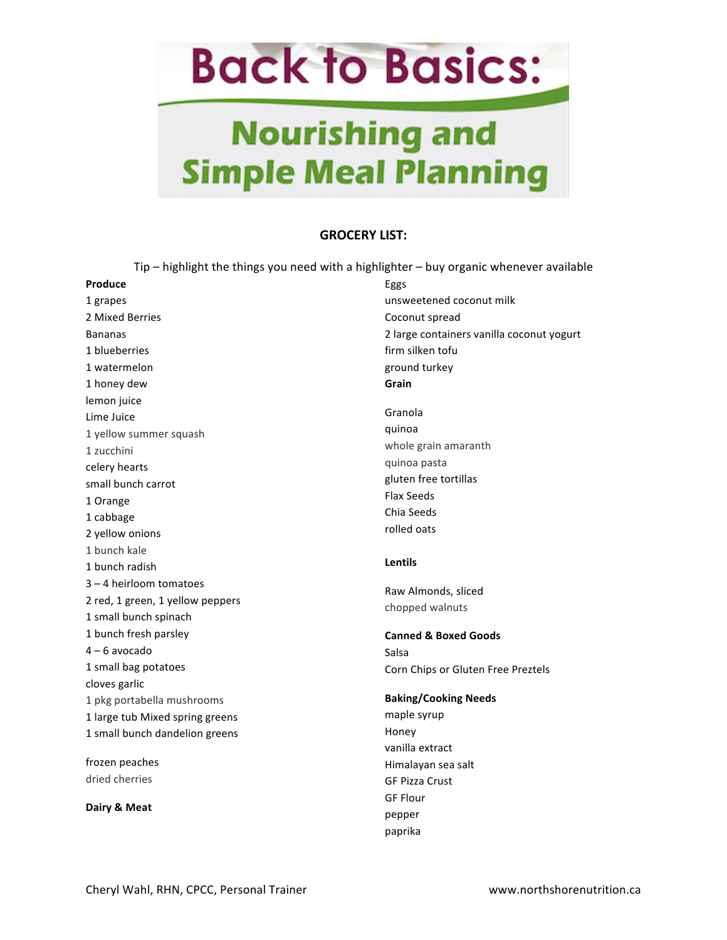## **Nourishing and Simple Meal Planning**

### **GROCERY LIST:**

Tip  $-$  highlight the things you need with a highlighter  $-$  buy organic whenever available

| Produce                          | Eggs                                      |  |  |
|----------------------------------|-------------------------------------------|--|--|
| 1 grapes                         | unsweetened coconut milk                  |  |  |
| 2 Mixed Berries                  | Coconut spread                            |  |  |
| <b>Bananas</b>                   | 2 large containers vanilla coconut yogurt |  |  |
| 1 blueberries                    | firm silken tofu                          |  |  |
| 1 watermelon                     | ground turkey                             |  |  |
| 1 honey dew                      | Grain                                     |  |  |
| lemon juice                      |                                           |  |  |
| Lime Juice                       | Granola                                   |  |  |
| 1 yellow summer squash           | quinoa                                    |  |  |
| 1 zucchini                       | whole grain amaranth                      |  |  |
| celery hearts                    | quinoa pasta                              |  |  |
| small bunch carrot               | gluten free tortillas                     |  |  |
| 1 Orange                         | <b>Flax Seeds</b>                         |  |  |
| 1 cabbage                        | Chia Seeds                                |  |  |
| 2 yellow onions                  | rolled oats                               |  |  |
| 1 bunch kale                     |                                           |  |  |
|                                  |                                           |  |  |
| 1 bunch radish                   | Lentils                                   |  |  |
| $3 - 4$ heirloom tomatoes        |                                           |  |  |
| 2 red, 1 green, 1 yellow peppers | Raw Almonds, sliced                       |  |  |
| 1 small bunch spinach            | chopped walnuts                           |  |  |
| 1 bunch fresh parsley            | <b>Canned &amp; Boxed Goods</b>           |  |  |
| $4 - 6$ avocado                  | Salsa                                     |  |  |
| 1 small bag potatoes             | Corn Chips or Gluten Free Preztels        |  |  |
| cloves garlic                    |                                           |  |  |
| 1 pkg portabella mushrooms       | <b>Baking/Cooking Needs</b>               |  |  |
| 1 large tub Mixed spring greens  | maple syrup                               |  |  |
| 1 small bunch dandelion greens   | Honey                                     |  |  |
|                                  | vanilla extract                           |  |  |
| frozen peaches                   | Himalayan sea salt                        |  |  |
| dried cherries                   | <b>GF Pizza Crust</b>                     |  |  |
|                                  | <b>GF Flour</b>                           |  |  |
| Dairy & Meat                     | pepper                                    |  |  |